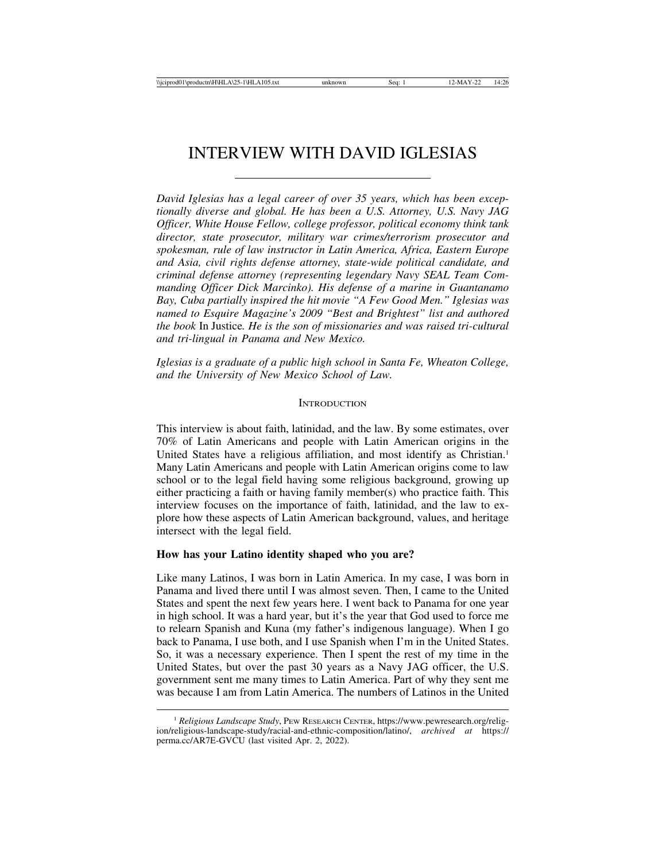# INTERVIEW WITH DAVID IGLESIAS

*David Iglesias has a legal career of over 35 years, which has been exceptionally diverse and global. He has been a U.S. Attorney, U.S. Navy JAG Officer, White House Fellow, college professor, political economy think tank director, state prosecutor, military war crimes/terrorism prosecutor and spokesman, rule of law instructor in Latin America, Africa, Eastern Europe and Asia, civil rights defense attorney, state-wide political candidate, and criminal defense attorney (representing legendary Navy SEAL Team Commanding Officer Dick Marcinko). His defense of a marine in Guantanamo Bay, Cuba partially inspired the hit movie "A Few Good Men." Iglesias was named to Esquire Magazine's 2009 "Best and Brightest" list and authored the book* In Justice*. He is the son of missionaries and was raised tri-cultural and tri-lingual in Panama and New Mexico.*

*Iglesias is a graduate of a public high school in Santa Fe, Wheaton College, and the University of New Mexico School of Law.*

## **INTRODUCTION**

This interview is about faith, latinidad, and the law. By some estimates, over 70% of Latin Americans and people with Latin American origins in the United States have a religious affiliation, and most identify as Christian.<sup>1</sup> Many Latin Americans and people with Latin American origins come to law school or to the legal field having some religious background, growing up either practicing a faith or having family member(s) who practice faith. This interview focuses on the importance of faith, latinidad, and the law to explore how these aspects of Latin American background, values, and heritage intersect with the legal field.

## **How has your Latino identity shaped who you are?**

Like many Latinos, I was born in Latin America. In my case, I was born in Panama and lived there until I was almost seven. Then, I came to the United States and spent the next few years here. I went back to Panama for one year in high school. It was a hard year, but it's the year that God used to force me to relearn Spanish and Kuna (my father's indigenous language). When I go back to Panama, I use both, and I use Spanish when I'm in the United States. So, it was a necessary experience. Then I spent the rest of my time in the United States, but over the past 30 years as a Navy JAG officer, the U.S. government sent me many times to Latin America. Part of why they sent me was because I am from Latin America. The numbers of Latinos in the United

<sup>1</sup> *Religious Landscape Study*, PEW RESEARCH CENTER, https://www.pewresearch.org/religion/religious-landscape-study/racial-and-ethnic-composition/latino/, *archived at* https:// perma.cc/AR7E-GVCU (last visited Apr. 2, 2022).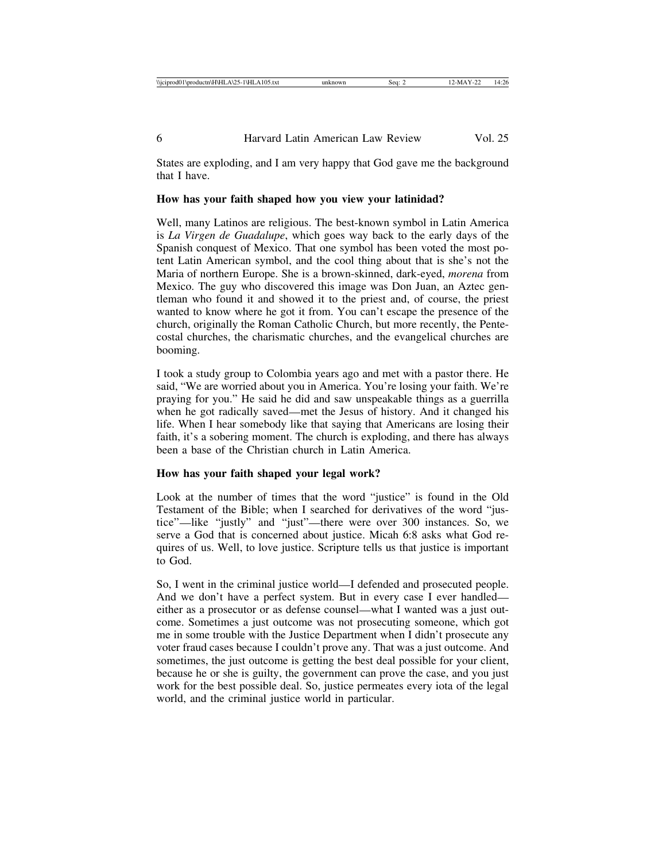States are exploding, and I am very happy that God gave me the background that I have.

## **How has your faith shaped how you view your latinidad?**

Well, many Latinos are religious. The best-known symbol in Latin America is *La Virgen de Guadalupe*, which goes way back to the early days of the Spanish conquest of Mexico. That one symbol has been voted the most potent Latin American symbol, and the cool thing about that is she's not the Maria of northern Europe. She is a brown-skinned, dark-eyed, *morena* from Mexico. The guy who discovered this image was Don Juan, an Aztec gentleman who found it and showed it to the priest and, of course, the priest wanted to know where he got it from. You can't escape the presence of the church, originally the Roman Catholic Church, but more recently, the Pentecostal churches, the charismatic churches, and the evangelical churches are booming.

I took a study group to Colombia years ago and met with a pastor there. He said, "We are worried about you in America. You're losing your faith. We're praying for you." He said he did and saw unspeakable things as a guerrilla when he got radically saved—met the Jesus of history. And it changed his life. When I hear somebody like that saying that Americans are losing their faith, it's a sobering moment. The church is exploding, and there has always been a base of the Christian church in Latin America.

## **How has your faith shaped your legal work?**

Look at the number of times that the word "justice" is found in the Old Testament of the Bible; when I searched for derivatives of the word "justice"—like "justly" and "just"—there were over 300 instances. So, we serve a God that is concerned about justice. Micah 6:8 asks what God requires of us. Well, to love justice. Scripture tells us that justice is important to God.

So, I went in the criminal justice world—I defended and prosecuted people. And we don't have a perfect system. But in every case I ever handled either as a prosecutor or as defense counsel—what I wanted was a just outcome. Sometimes a just outcome was not prosecuting someone, which got me in some trouble with the Justice Department when I didn't prosecute any voter fraud cases because I couldn't prove any. That was a just outcome. And sometimes, the just outcome is getting the best deal possible for your client, because he or she is guilty, the government can prove the case, and you just work for the best possible deal. So, justice permeates every iota of the legal world, and the criminal justice world in particular.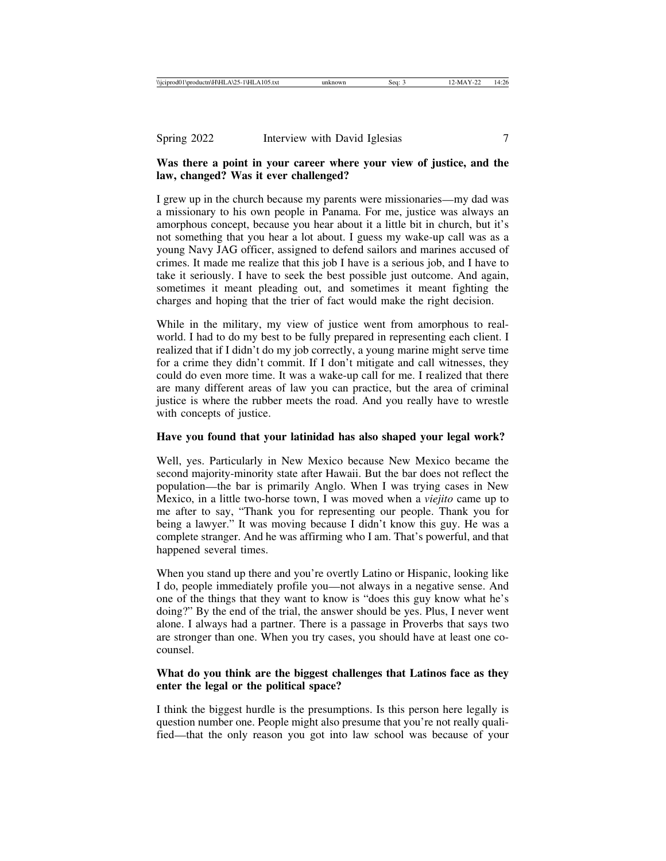# **Was there a point in your career where your view of justice, and the law, changed? Was it ever challenged?**

I grew up in the church because my parents were missionaries—my dad was a missionary to his own people in Panama. For me, justice was always an amorphous concept, because you hear about it a little bit in church, but it's not something that you hear a lot about. I guess my wake-up call was as a young Navy JAG officer, assigned to defend sailors and marines accused of crimes. It made me realize that this job I have is a serious job, and I have to take it seriously. I have to seek the best possible just outcome. And again, sometimes it meant pleading out, and sometimes it meant fighting the charges and hoping that the trier of fact would make the right decision.

While in the military, my view of justice went from amorphous to realworld. I had to do my best to be fully prepared in representing each client. I realized that if I didn't do my job correctly, a young marine might serve time for a crime they didn't commit. If I don't mitigate and call witnesses, they could do even more time. It was a wake-up call for me. I realized that there are many different areas of law you can practice, but the area of criminal justice is where the rubber meets the road. And you really have to wrestle with concepts of justice.

## **Have you found that your latinidad has also shaped your legal work?**

Well, yes. Particularly in New Mexico because New Mexico became the second majority-minority state after Hawaii. But the bar does not reflect the population—the bar is primarily Anglo. When I was trying cases in New Mexico, in a little two-horse town, I was moved when a *viejito* came up to me after to say, "Thank you for representing our people. Thank you for being a lawyer." It was moving because I didn't know this guy. He was a complete stranger. And he was affirming who I am. That's powerful, and that happened several times.

When you stand up there and you're overtly Latino or Hispanic, looking like I do, people immediately profile you—not always in a negative sense. And one of the things that they want to know is "does this guy know what he's doing?" By the end of the trial, the answer should be yes. Plus, I never went alone. I always had a partner. There is a passage in Proverbs that says two are stronger than one. When you try cases, you should have at least one cocounsel.

## **What do you think are the biggest challenges that Latinos face as they enter the legal or the political space?**

I think the biggest hurdle is the presumptions. Is this person here legally is question number one. People might also presume that you're not really qualified—that the only reason you got into law school was because of your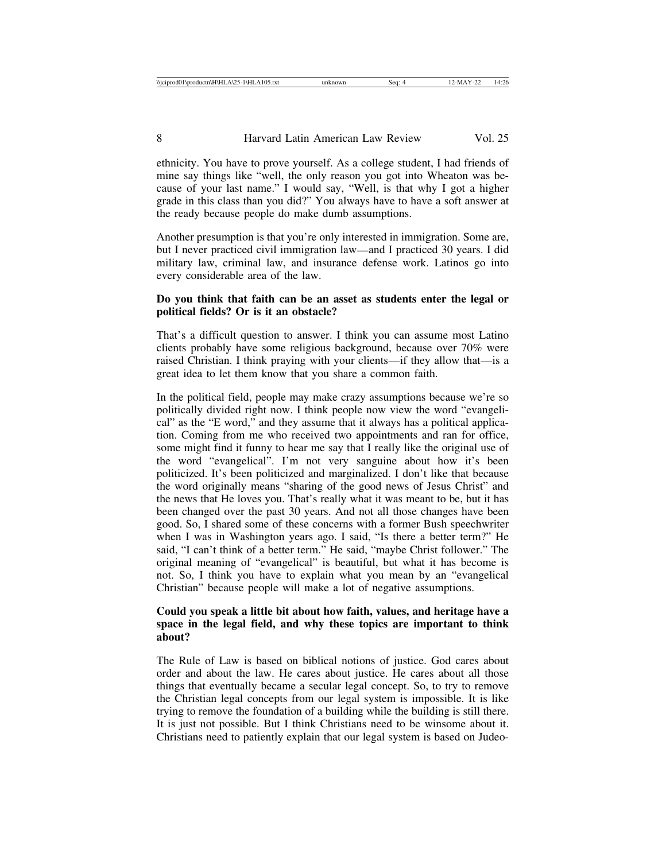ethnicity. You have to prove yourself. As a college student, I had friends of mine say things like "well, the only reason you got into Wheaton was because of your last name." I would say, "Well, is that why I got a higher grade in this class than you did?" You always have to have a soft answer at the ready because people do make dumb assumptions.

Another presumption is that you're only interested in immigration. Some are, but I never practiced civil immigration law—and I practiced 30 years. I did military law, criminal law, and insurance defense work. Latinos go into every considerable area of the law.

## **Do you think that faith can be an asset as students enter the legal or political fields? Or is it an obstacle?**

That's a difficult question to answer. I think you can assume most Latino clients probably have some religious background, because over 70% were raised Christian. I think praying with your clients—if they allow that—is a great idea to let them know that you share a common faith.

In the political field, people may make crazy assumptions because we're so politically divided right now. I think people now view the word "evangelical" as the "E word," and they assume that it always has a political application. Coming from me who received two appointments and ran for office, some might find it funny to hear me say that I really like the original use of the word "evangelical". I'm not very sanguine about how it's been politicized. It's been politicized and marginalized. I don't like that because the word originally means "sharing of the good news of Jesus Christ" and the news that He loves you. That's really what it was meant to be, but it has been changed over the past 30 years. And not all those changes have been good. So, I shared some of these concerns with a former Bush speechwriter when I was in Washington years ago. I said, "Is there a better term?" He said, "I can't think of a better term." He said, "maybe Christ follower." The original meaning of "evangelical" is beautiful, but what it has become is not. So, I think you have to explain what you mean by an "evangelical Christian" because people will make a lot of negative assumptions.

## **Could you speak a little bit about how faith, values, and heritage have a space in the legal field, and why these topics are important to think about?**

The Rule of Law is based on biblical notions of justice. God cares about order and about the law. He cares about justice. He cares about all those things that eventually became a secular legal concept. So, to try to remove the Christian legal concepts from our legal system is impossible. It is like trying to remove the foundation of a building while the building is still there. It is just not possible. But I think Christians need to be winsome about it. Christians need to patiently explain that our legal system is based on Judeo